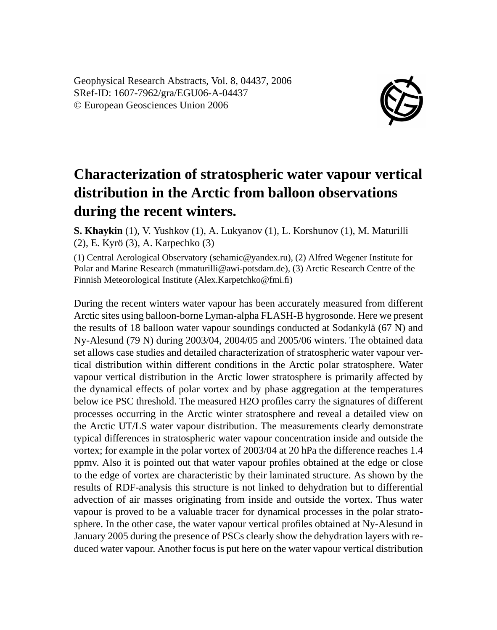Geophysical Research Abstracts, Vol. 8, 04437, 2006 SRef-ID: 1607-7962/gra/EGU06-A-04437 © European Geosciences Union 2006



## **Characterization of stratospheric water vapour vertical distribution in the Arctic from balloon observations during the recent winters.**

**S. Khaykin** (1), V. Yushkov (1), A. Lukyanov (1), L. Korshunov (1), M. Maturilli (2), E. Kyrö (3), A. Karpechko (3)

(1) Central Aerological Observatory (sehamic@yandex.ru), (2) Alfred Wegener Institute for Polar and Marine Research (mmaturilli@awi-potsdam.de), (3) Arctic Research Centre of the Finnish Meteorological Institute (Alex.Karpetchko@fmi.fi)

During the recent winters water vapour has been accurately measured from different Arctic sites using balloon-borne Lyman-alpha FLASH-B hygrosonde. Here we present the results of 18 balloon water vapour soundings conducted at Sodankylä (67 N) and Ny-Alesund (79 N) during 2003/04, 2004/05 and 2005/06 winters. The obtained data set allows case studies and detailed characterization of stratospheric water vapour vertical distribution within different conditions in the Arctic polar stratosphere. Water vapour vertical distribution in the Arctic lower stratosphere is primarily affected by the dynamical effects of polar vortex and by phase aggregation at the temperatures below ice PSC threshold. The measured H2O profiles carry the signatures of different processes occurring in the Arctic winter stratosphere and reveal a detailed view on the Arctic UT/LS water vapour distribution. The measurements clearly demonstrate typical differences in stratospheric water vapour concentration inside and outside the vortex; for example in the polar vortex of 2003/04 at 20 hPa the difference reaches 1.4 ppmv. Also it is pointed out that water vapour profiles obtained at the edge or close to the edge of vortex are characteristic by their laminated structure. As shown by the results of RDF-analysis this structure is not linked to dehydration but to differential advection of air masses originating from inside and outside the vortex. Thus water vapour is proved to be a valuable tracer for dynamical processes in the polar stratosphere. In the other case, the water vapour vertical profiles obtained at Ny-Alesund in January 2005 during the presence of PSCs clearly show the dehydration layers with reduced water vapour. Another focus is put here on the water vapour vertical distribution